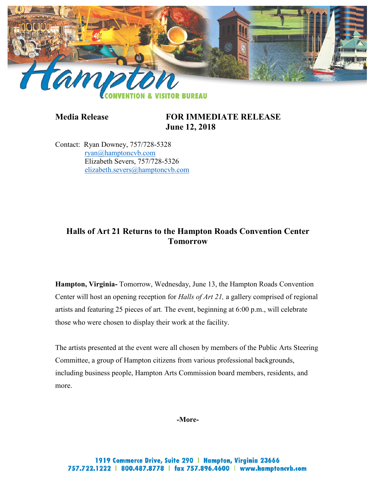

**Media Release FOR IMMEDIATE RELEASE June 12, 2018**

Contact: Ryan Downey, 757/728-5328 [ryan@hamptoncvb.com](mailto:ryan@hamptoncvb.com) Elizabeth Severs, 757/728-5326 [elizabeth.severs@hamptoncvb.com](mailto:elizabeth.severs@hamptoncvb.com)

## **Halls of Art 21 Returns to the Hampton Roads Convention Center Tomorrow**

**Hampton, Virginia-** Tomorrow, Wednesday, June 13, the Hampton Roads Convention Center will host an opening reception for *Halls of Art 21,* a gallery comprised of regional artists and featuring 25 pieces of art. The event, beginning at 6:00 p.m., will celebrate those who were chosen to display their work at the facility.

The artists presented at the event were all chosen by members of the Public Arts Steering Committee, a group of Hampton citizens from various professional backgrounds, including business people, Hampton Arts Commission board members, residents, and more.

**-More-**